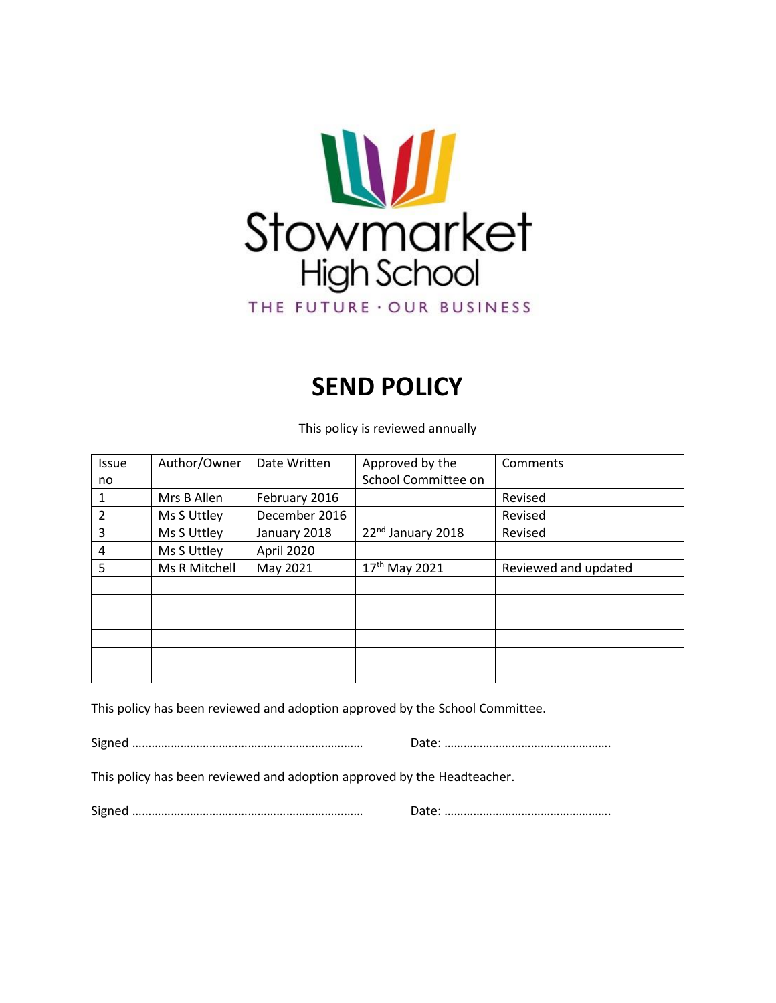

# **SEND POLICY**

This policy is reviewed annually

| <b>Issue</b>   | Author/Owner  | Date Written  | Approved by the               | Comments             |
|----------------|---------------|---------------|-------------------------------|----------------------|
| no             |               |               | School Committee on           |                      |
| 1              | Mrs B Allen   | February 2016 |                               | Revised              |
| $\overline{2}$ | Ms S Uttley   | December 2016 |                               | Revised              |
| 3              | Ms S Uttley   | January 2018  | 22 <sup>nd</sup> January 2018 | Revised              |
| 4              | Ms S Uttley   | April 2020    |                               |                      |
| 5              | Ms R Mitchell | May 2021      | 17 <sup>th</sup> May 2021     | Reviewed and updated |
|                |               |               |                               |                      |
|                |               |               |                               |                      |
|                |               |               |                               |                      |
|                |               |               |                               |                      |
|                |               |               |                               |                      |
|                |               |               |                               |                      |

This policy has been reviewed and adoption approved by the School Committee.

Signed ……………………………………………………………… Date: …………………………………………….

This policy has been reviewed and adoption approved by the Headteacher.

Signed ……………………………………………………………… Date: …………………………………………….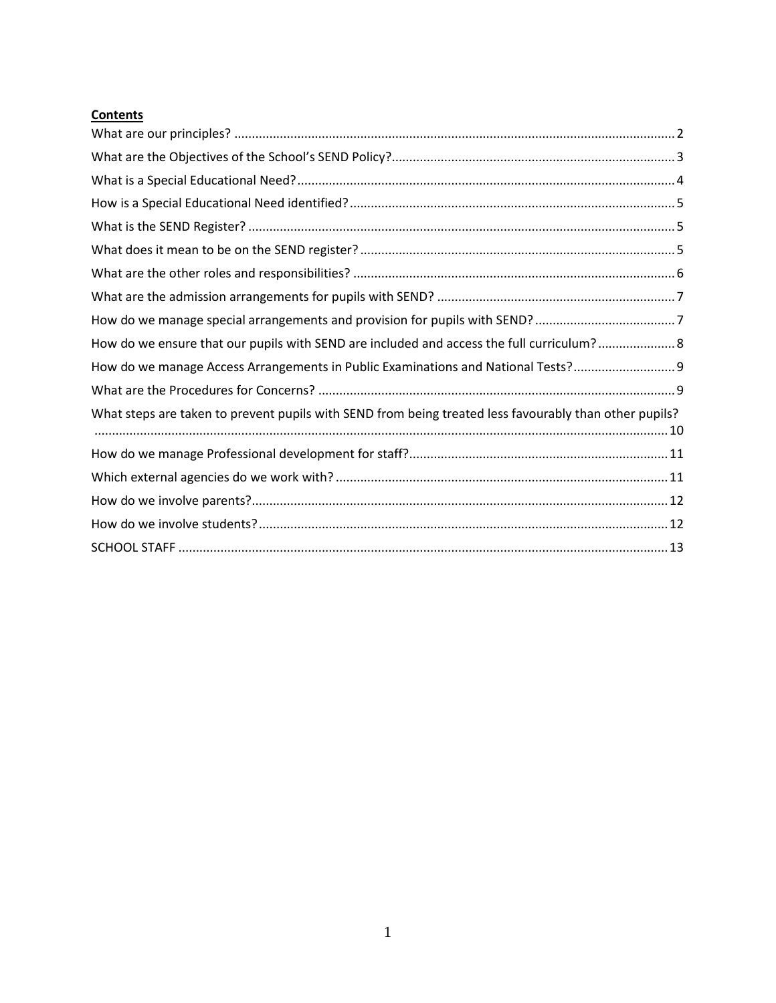# **Contents**

| How do we ensure that our pupils with SEND are included and access the full curriculum? 8              |
|--------------------------------------------------------------------------------------------------------|
| How do we manage Access Arrangements in Public Examinations and National Tests? 9                      |
|                                                                                                        |
| What steps are taken to prevent pupils with SEND from being treated less favourably than other pupils? |
|                                                                                                        |
|                                                                                                        |
|                                                                                                        |
|                                                                                                        |
|                                                                                                        |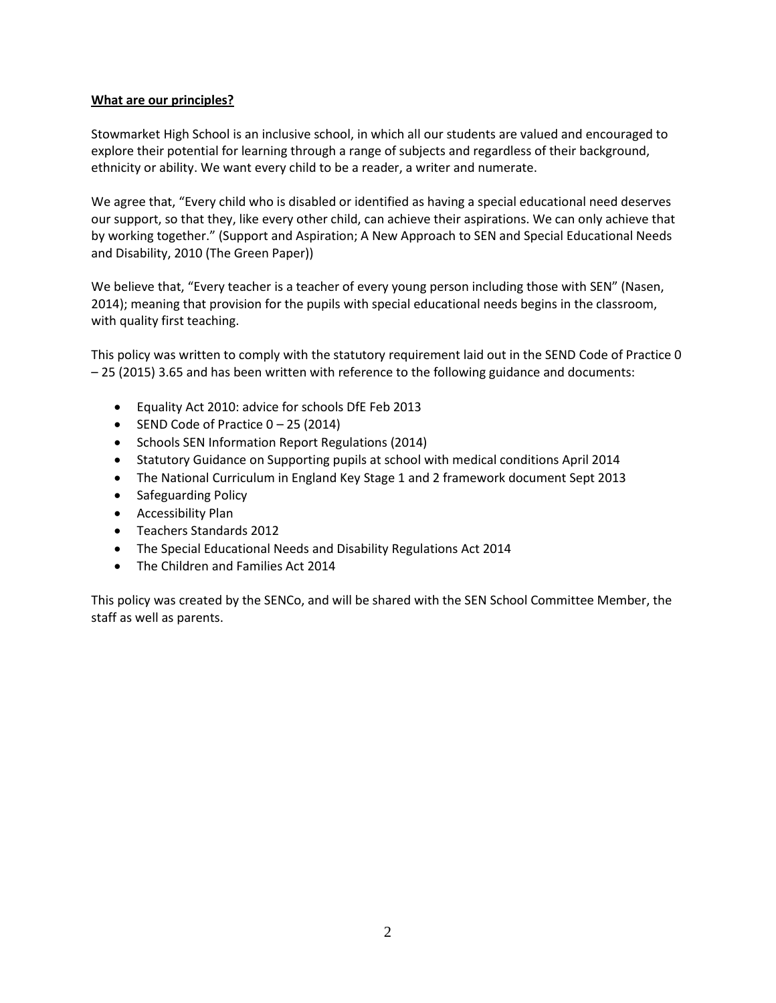#### <span id="page-2-0"></span>**What are our principles?**

Stowmarket High School is an inclusive school, in which all our students are valued and encouraged to explore their potential for learning through a range of subjects and regardless of their background, ethnicity or ability. We want every child to be a reader, a writer and numerate.

We agree that, "Every child who is disabled or identified as having a special educational need deserves our support, so that they, like every other child, can achieve their aspirations. We can only achieve that by working together." (Support and Aspiration; A New Approach to SEN and Special Educational Needs and Disability, 2010 (The Green Paper))

We believe that, "Every teacher is a teacher of every young person including those with SEN" (Nasen, 2014); meaning that provision for the pupils with special educational needs begins in the classroom, with quality first teaching.

This policy was written to comply with the statutory requirement laid out in the SEND Code of Practice 0 – 25 (2015) 3.65 and has been written with reference to the following guidance and documents:

- Equality Act 2010: advice for schools DfE Feb 2013
- $\bullet$  SEND Code of Practice  $0 25$  (2014)
- Schools SEN Information Report Regulations (2014)
- Statutory Guidance on Supporting pupils at school with medical conditions April 2014
- The National Curriculum in England Key Stage 1 and 2 framework document Sept 2013
- Safeguarding Policy
- Accessibility Plan
- Teachers Standards 2012
- The Special Educational Needs and Disability Regulations Act 2014
- The Children and Families Act 2014

This policy was created by the SENCo, and will be shared with the SEN School Committee Member, the staff as well as parents.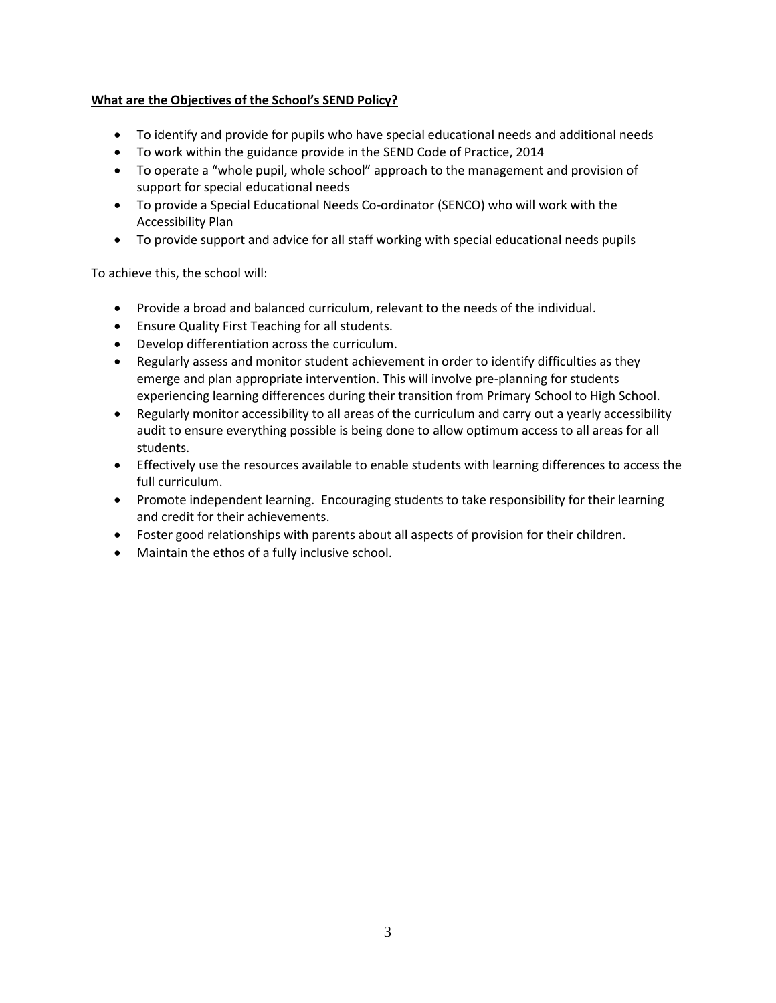## <span id="page-3-0"></span>**What are the Objectives of the School's SEND Policy?**

- To identify and provide for pupils who have special educational needs and additional needs
- To work within the guidance provide in the SEND Code of Practice, 2014
- To operate a "whole pupil, whole school" approach to the management and provision of support for special educational needs
- To provide a Special Educational Needs Co-ordinator (SENCO) who will work with the Accessibility Plan
- To provide support and advice for all staff working with special educational needs pupils

To achieve this, the school will:

- Provide a broad and balanced curriculum, relevant to the needs of the individual.
- Ensure Quality First Teaching for all students.
- Develop differentiation across the curriculum.
- Regularly assess and monitor student achievement in order to identify difficulties as they emerge and plan appropriate intervention. This will involve pre-planning for students experiencing learning differences during their transition from Primary School to High School.
- Regularly monitor accessibility to all areas of the curriculum and carry out a yearly accessibility audit to ensure everything possible is being done to allow optimum access to all areas for all students.
- Effectively use the resources available to enable students with learning differences to access the full curriculum.
- Promote independent learning. Encouraging students to take responsibility for their learning and credit for their achievements.
- Foster good relationships with parents about all aspects of provision for their children.
- Maintain the ethos of a fully inclusive school.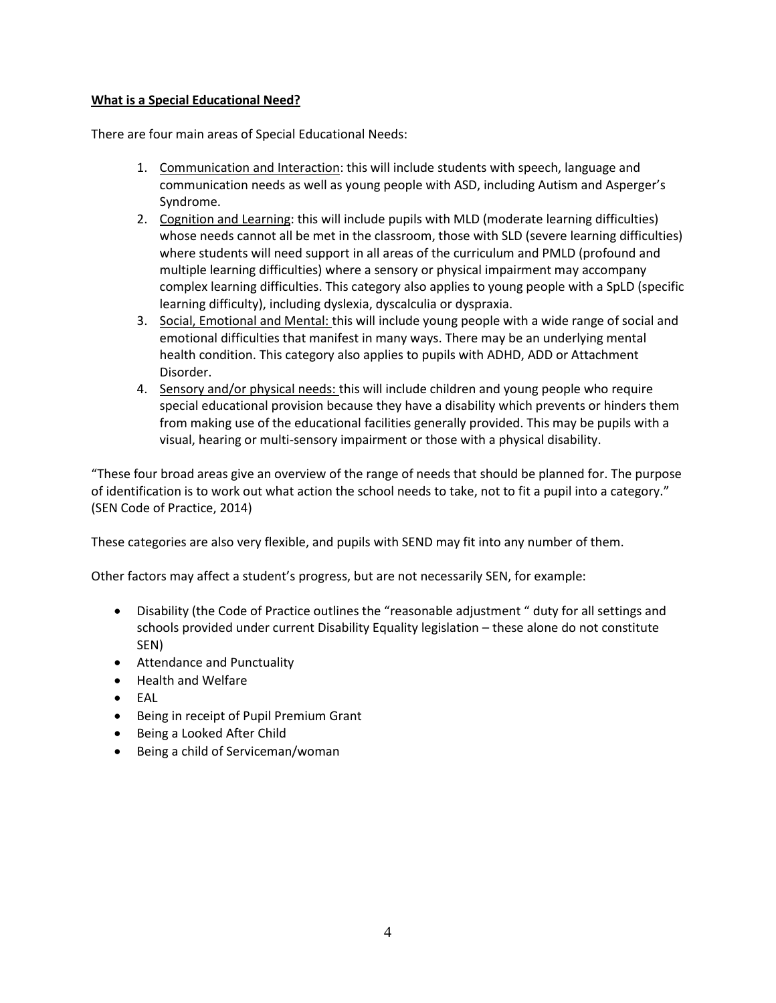#### <span id="page-4-0"></span>**What is a Special Educational Need?**

There are four main areas of Special Educational Needs:

- 1. Communication and Interaction: this will include students with speech, language and communication needs as well as young people with ASD, including Autism and Asperger's Syndrome.
- 2. Cognition and Learning: this will include pupils with MLD (moderate learning difficulties) whose needs cannot all be met in the classroom, those with SLD (severe learning difficulties) where students will need support in all areas of the curriculum and PMLD (profound and multiple learning difficulties) where a sensory or physical impairment may accompany complex learning difficulties. This category also applies to young people with a SpLD (specific learning difficulty), including dyslexia, dyscalculia or dyspraxia.
- 3. Social, Emotional and Mental: this will include young people with a wide range of social and emotional difficulties that manifest in many ways. There may be an underlying mental health condition. This category also applies to pupils with ADHD, ADD or Attachment Disorder.
- 4. Sensory and/or physical needs: this will include children and young people who require special educational provision because they have a disability which prevents or hinders them from making use of the educational facilities generally provided. This may be pupils with a visual, hearing or multi-sensory impairment or those with a physical disability.

"These four broad areas give an overview of the range of needs that should be planned for. The purpose of identification is to work out what action the school needs to take, not to fit a pupil into a category." (SEN Code of Practice, 2014)

These categories are also very flexible, and pupils with SEND may fit into any number of them.

Other factors may affect a student's progress, but are not necessarily SEN, for example:

- Disability (the Code of Practice outlines the "reasonable adjustment " duty for all settings and schools provided under current Disability Equality legislation – these alone do not constitute SEN)
- Attendance and Punctuality
- Health and Welfare
- EAL
- Being in receipt of Pupil Premium Grant
- Being a Looked After Child
- Being a child of Serviceman/woman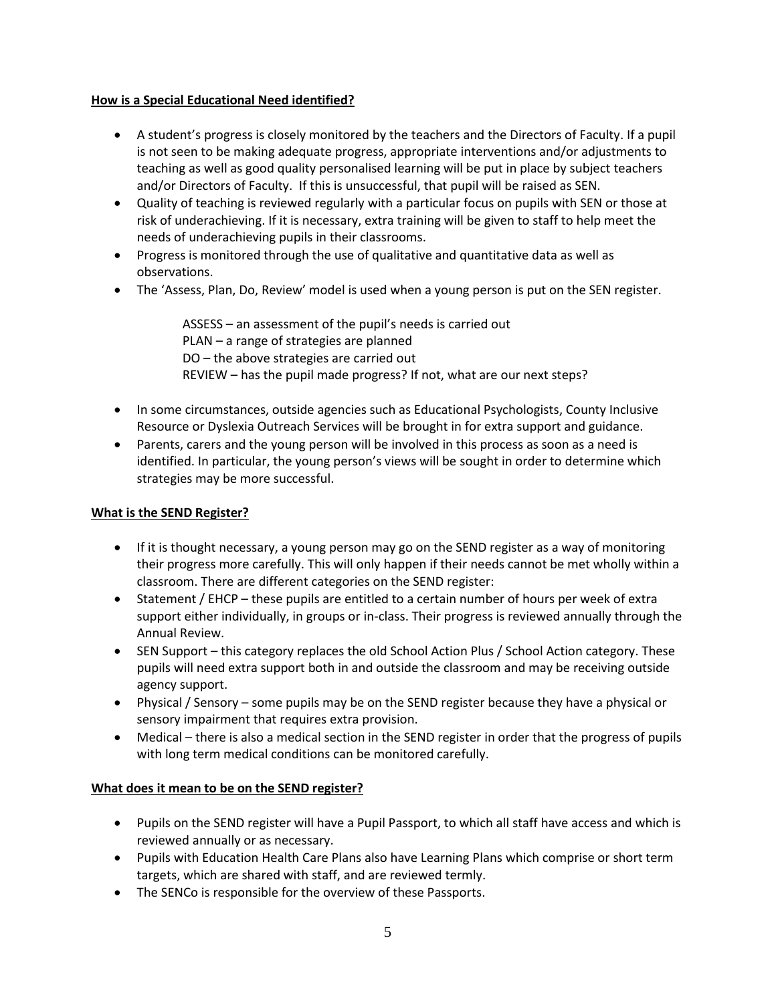#### <span id="page-5-0"></span>**How is a Special Educational Need identified?**

- A student's progress is closely monitored by the teachers and the Directors of Faculty. If a pupil is not seen to be making adequate progress, appropriate interventions and/or adjustments to teaching as well as good quality personalised learning will be put in place by subject teachers and/or Directors of Faculty. If this is unsuccessful, that pupil will be raised as SEN.
- Quality of teaching is reviewed regularly with a particular focus on pupils with SEN or those at risk of underachieving. If it is necessary, extra training will be given to staff to help meet the needs of underachieving pupils in their classrooms.
- Progress is monitored through the use of qualitative and quantitative data as well as observations.
- The 'Assess, Plan, Do, Review' model is used when a young person is put on the SEN register.

ASSESS – an assessment of the pupil's needs is carried out PLAN – a range of strategies are planned DO – the above strategies are carried out REVIEW – has the pupil made progress? If not, what are our next steps?

- In some circumstances, outside agencies such as Educational Psychologists, County Inclusive Resource or Dyslexia Outreach Services will be brought in for extra support and guidance.
- Parents, carers and the young person will be involved in this process as soon as a need is identified. In particular, the young person's views will be sought in order to determine which strategies may be more successful.

# <span id="page-5-1"></span>**What is the SEND Register?**

- $\bullet$  If it is thought necessary, a young person may go on the SEND register as a way of monitoring their progress more carefully. This will only happen if their needs cannot be met wholly within a classroom. There are different categories on the SEND register:
- Statement / EHCP these pupils are entitled to a certain number of hours per week of extra support either individually, in groups or in-class. Their progress is reviewed annually through the Annual Review.
- SEN Support this category replaces the old School Action Plus / School Action category. These pupils will need extra support both in and outside the classroom and may be receiving outside agency support.
- Physical / Sensory some pupils may be on the SEND register because they have a physical or sensory impairment that requires extra provision.
- Medical there is also a medical section in the SEND register in order that the progress of pupils with long term medical conditions can be monitored carefully.

# <span id="page-5-2"></span>**What does it mean to be on the SEND register?**

- Pupils on the SEND register will have a Pupil Passport, to which all staff have access and which is reviewed annually or as necessary.
- Pupils with Education Health Care Plans also have Learning Plans which comprise or short term targets, which are shared with staff, and are reviewed termly.
- The SENCo is responsible for the overview of these Passports.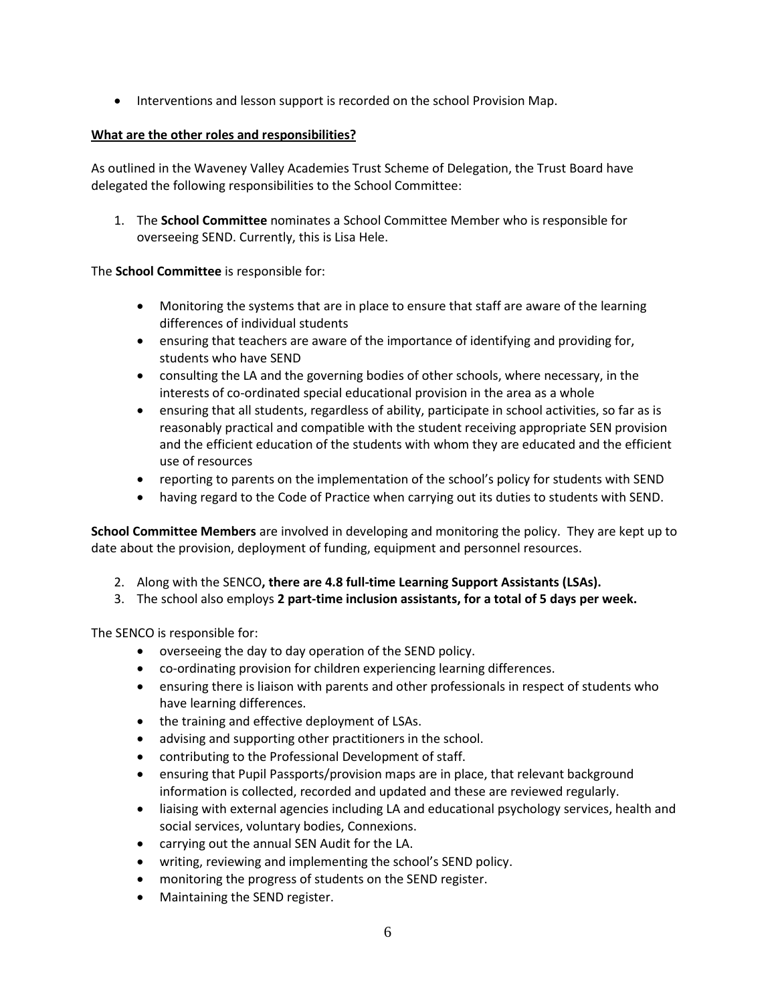• Interventions and lesson support is recorded on the school Provision Map.

## <span id="page-6-0"></span>**What are the other roles and responsibilities?**

As outlined in the Waveney Valley Academies Trust Scheme of Delegation, the Trust Board have delegated the following responsibilities to the School Committee:

1. The **School Committee** nominates a School Committee Member who is responsible for overseeing SEND. Currently, this is Lisa Hele.

The **School Committee** is responsible for:

- Monitoring the systems that are in place to ensure that staff are aware of the learning differences of individual students
- ensuring that teachers are aware of the importance of identifying and providing for, students who have SEND
- consulting the LA and the governing bodies of other schools, where necessary, in the interests of co-ordinated special educational provision in the area as a whole
- ensuring that all students, regardless of ability, participate in school activities, so far as is reasonably practical and compatible with the student receiving appropriate SEN provision and the efficient education of the students with whom they are educated and the efficient use of resources
- reporting to parents on the implementation of the school's policy for students with SEND
- having regard to the Code of Practice when carrying out its duties to students with SEND.

**School Committee Members** are involved in developing and monitoring the policy. They are kept up to date about the provision, deployment of funding, equipment and personnel resources.

- 2. Along with the SENCO**, there are 4.8 full-time Learning Support Assistants (LSAs).**
- 3. The school also employs **2 part-time inclusion assistants, for a total of 5 days per week.**

The SENCO is responsible for:

- overseeing the day to day operation of the SEND policy.
- co-ordinating provision for children experiencing learning differences.
- ensuring there is liaison with parents and other professionals in respect of students who have learning differences.
- the training and effective deployment of LSAs.
- advising and supporting other practitioners in the school.
- contributing to the Professional Development of staff.
- ensuring that Pupil Passports/provision maps are in place, that relevant background information is collected, recorded and updated and these are reviewed regularly.
- liaising with external agencies including LA and educational psychology services, health and social services, voluntary bodies, Connexions.
- carrying out the annual SEN Audit for the LA.
- writing, reviewing and implementing the school's SEND policy.
- monitoring the progress of students on the SEND register.
- Maintaining the SEND register.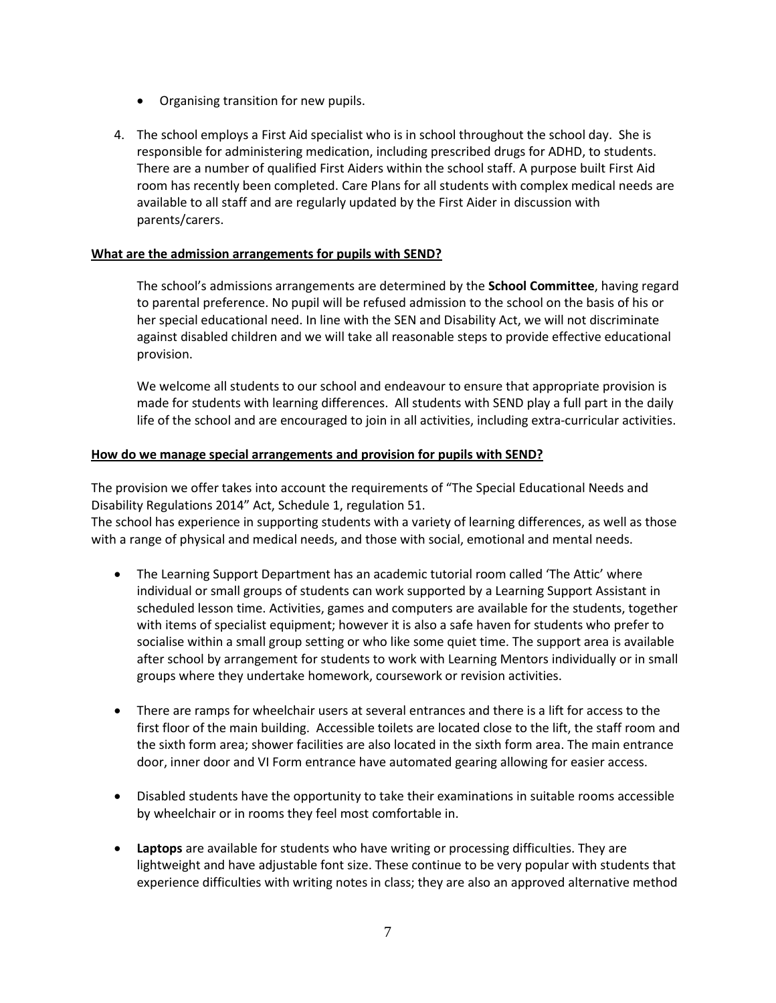- Organising transition for new pupils.
- 4. The school employs a First Aid specialist who is in school throughout the school day. She is responsible for administering medication, including prescribed drugs for ADHD, to students. There are a number of qualified First Aiders within the school staff. A purpose built First Aid room has recently been completed. Care Plans for all students with complex medical needs are available to all staff and are regularly updated by the First Aider in discussion with parents/carers.

#### <span id="page-7-0"></span>**What are the admission arrangements for pupils with SEND?**

The school's admissions arrangements are determined by the **School Committee**, having regard to parental preference. No pupil will be refused admission to the school on the basis of his or her special educational need. In line with the SEN and Disability Act, we will not discriminate against disabled children and we will take all reasonable steps to provide effective educational provision.

We welcome all students to our school and endeavour to ensure that appropriate provision is made for students with learning differences. All students with SEND play a full part in the daily life of the school and are encouraged to join in all activities, including extra-curricular activities.

#### <span id="page-7-1"></span>**How do we manage special arrangements and provision for pupils with SEND?**

The provision we offer takes into account the requirements of "The Special Educational Needs and Disability Regulations 2014" Act, Schedule 1, regulation 51.

The school has experience in supporting students with a variety of learning differences, as well as those with a range of physical and medical needs, and those with social, emotional and mental needs.

- The Learning Support Department has an academic tutorial room called 'The Attic' where individual or small groups of students can work supported by a Learning Support Assistant in scheduled lesson time. Activities, games and computers are available for the students, together with items of specialist equipment; however it is also a safe haven for students who prefer to socialise within a small group setting or who like some quiet time. The support area is available after school by arrangement for students to work with Learning Mentors individually or in small groups where they undertake homework, coursework or revision activities.
- There are ramps for wheelchair users at several entrances and there is a lift for access to the first floor of the main building. Accessible toilets are located close to the lift, the staff room and the sixth form area; shower facilities are also located in the sixth form area. The main entrance door, inner door and VI Form entrance have automated gearing allowing for easier access.
- Disabled students have the opportunity to take their examinations in suitable rooms accessible by wheelchair or in rooms they feel most comfortable in.
- **Laptops** are available for students who have writing or processing difficulties. They are lightweight and have adjustable font size. These continue to be very popular with students that experience difficulties with writing notes in class; they are also an approved alternative method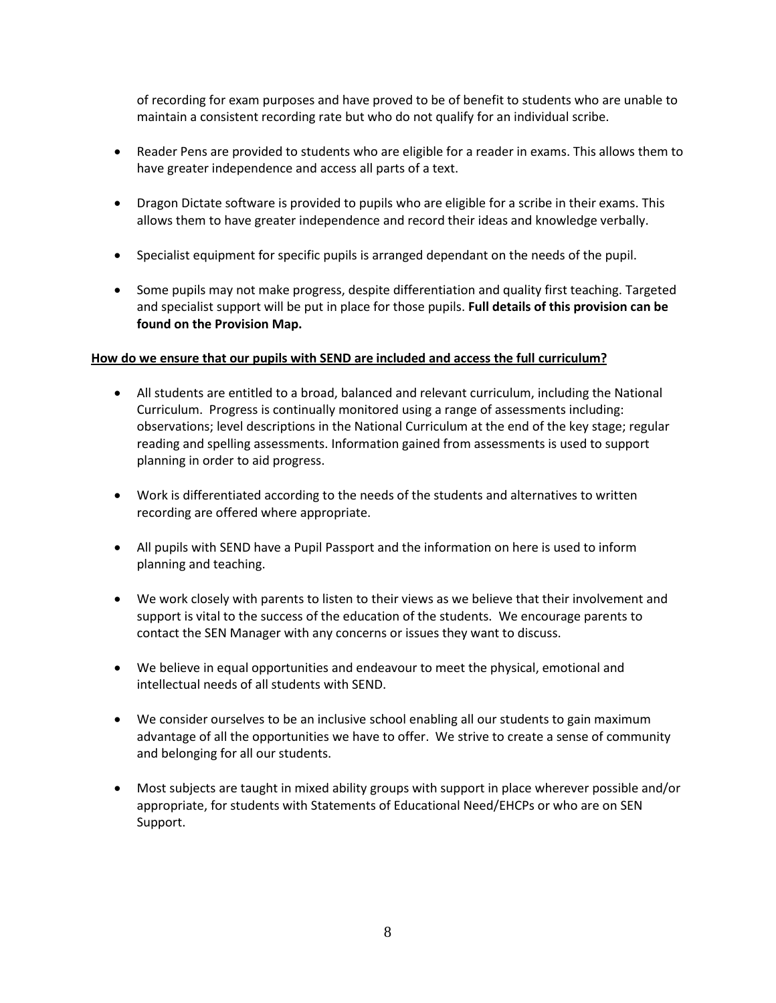of recording for exam purposes and have proved to be of benefit to students who are unable to maintain a consistent recording rate but who do not qualify for an individual scribe.

- Reader Pens are provided to students who are eligible for a reader in exams. This allows them to have greater independence and access all parts of a text.
- Dragon Dictate software is provided to pupils who are eligible for a scribe in their exams. This allows them to have greater independence and record their ideas and knowledge verbally.
- Specialist equipment for specific pupils is arranged dependant on the needs of the pupil.
- Some pupils may not make progress, despite differentiation and quality first teaching. Targeted and specialist support will be put in place for those pupils. **Full details of this provision can be found on the Provision Map.**

#### <span id="page-8-0"></span>**How do we ensure that our pupils with SEND are included and access the full curriculum?**

- All students are entitled to a broad, balanced and relevant curriculum, including the National Curriculum. Progress is continually monitored using a range of assessments including: observations; level descriptions in the National Curriculum at the end of the key stage; regular reading and spelling assessments. Information gained from assessments is used to support planning in order to aid progress.
- Work is differentiated according to the needs of the students and alternatives to written recording are offered where appropriate.
- All pupils with SEND have a Pupil Passport and the information on here is used to inform planning and teaching.
- We work closely with parents to listen to their views as we believe that their involvement and support is vital to the success of the education of the students. We encourage parents to contact the SEN Manager with any concerns or issues they want to discuss.
- We believe in equal opportunities and endeavour to meet the physical, emotional and intellectual needs of all students with SEND.
- We consider ourselves to be an inclusive school enabling all our students to gain maximum advantage of all the opportunities we have to offer. We strive to create a sense of community and belonging for all our students.
- Most subjects are taught in mixed ability groups with support in place wherever possible and/or appropriate, for students with Statements of Educational Need/EHCPs or who are on SEN Support.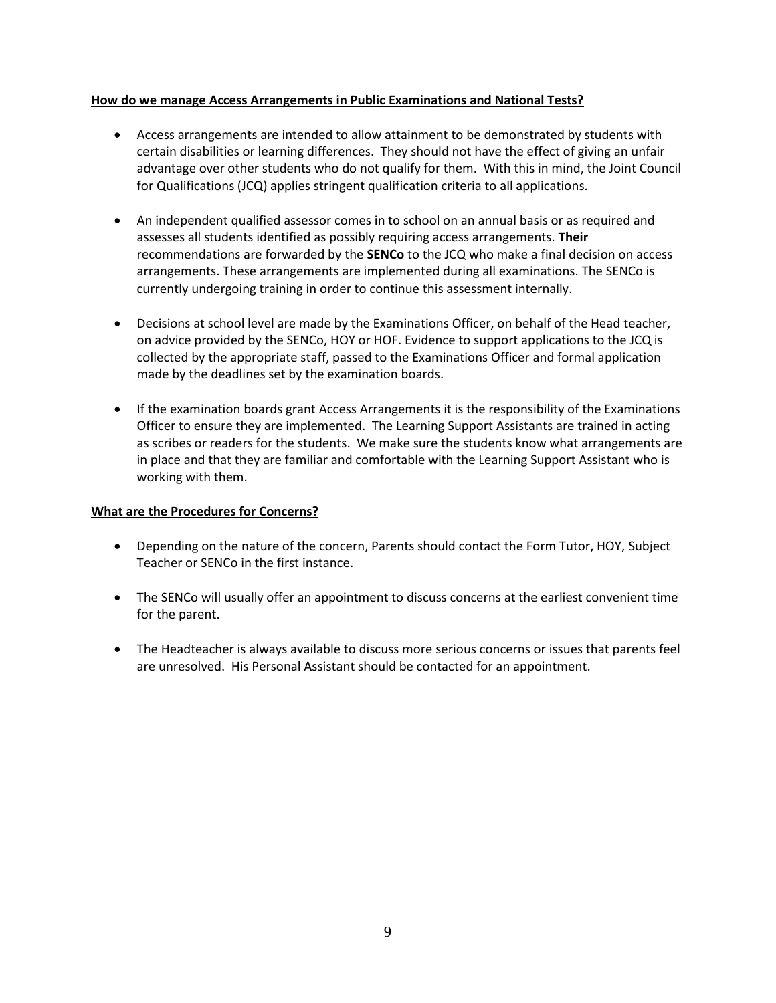#### <span id="page-9-0"></span>**How do we manage Access Arrangements in Public Examinations and National Tests?**

- Access arrangements are intended to allow attainment to be demonstrated by students with certain disabilities or learning differences. They should not have the effect of giving an unfair advantage over other students who do not qualify for them. With this in mind, the Joint Council for Qualifications (JCQ) applies stringent qualification criteria to all applications.
- An independent qualified assessor comes in to school on an annual basis or as required and assesses all students identified as possibly requiring access arrangements. **Their**  recommendations are forwarded by the **SENCo** to the JCQ who make a final decision on access arrangements. These arrangements are implemented during all examinations. The SENCo is currently undergoing training in order to continue this assessment internally.
- Decisions at school level are made by the Examinations Officer, on behalf of the Head teacher, on advice provided by the SENCo, HOY or HOF. Evidence to support applications to the JCQ is collected by the appropriate staff, passed to the Examinations Officer and formal application made by the deadlines set by the examination boards.
- If the examination boards grant Access Arrangements it is the responsibility of the Examinations Officer to ensure they are implemented. The Learning Support Assistants are trained in acting as scribes or readers for the students. We make sure the students know what arrangements are in place and that they are familiar and comfortable with the Learning Support Assistant who is working with them.

#### <span id="page-9-1"></span>**What are the Procedures for Concerns?**

- Depending on the nature of the concern, Parents should contact the Form Tutor, HOY, Subject Teacher or SENCo in the first instance.
- The SENCo will usually offer an appointment to discuss concerns at the earliest convenient time for the parent.
- The Headteacher is always available to discuss more serious concerns or issues that parents feel are unresolved. His Personal Assistant should be contacted for an appointment.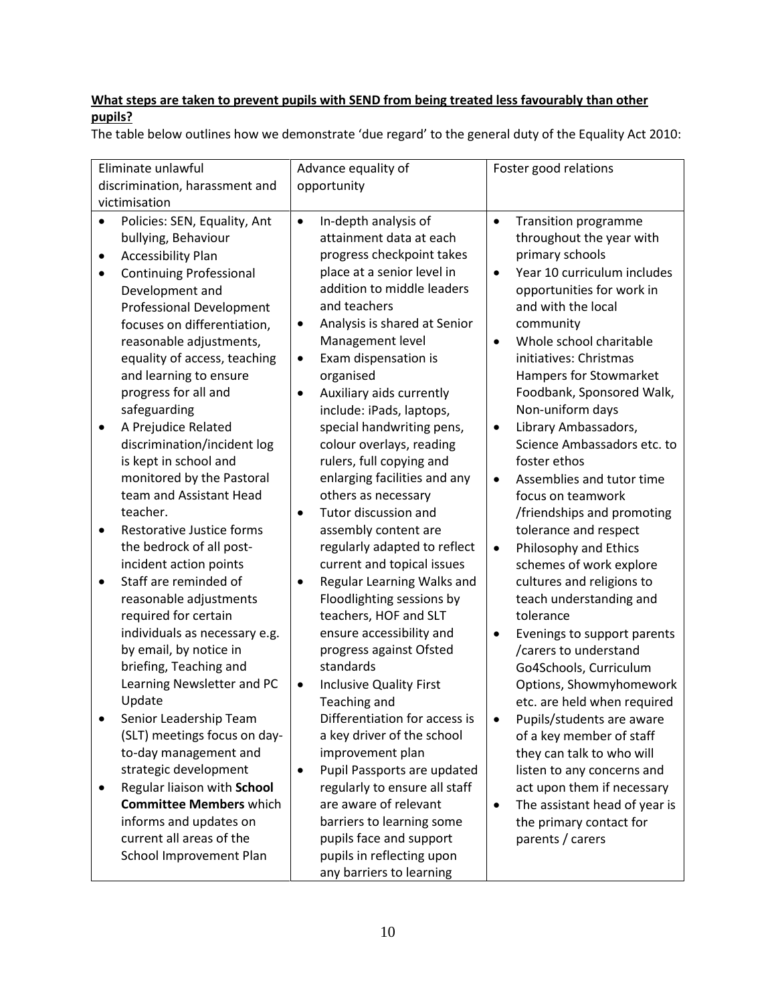# <span id="page-10-0"></span>**What steps are taken to prevent pupils with SEND from being treated less favourably than other pupils?**

The table below outlines how we demonstrate 'due regard' to the general duty of the Equality Act 2010: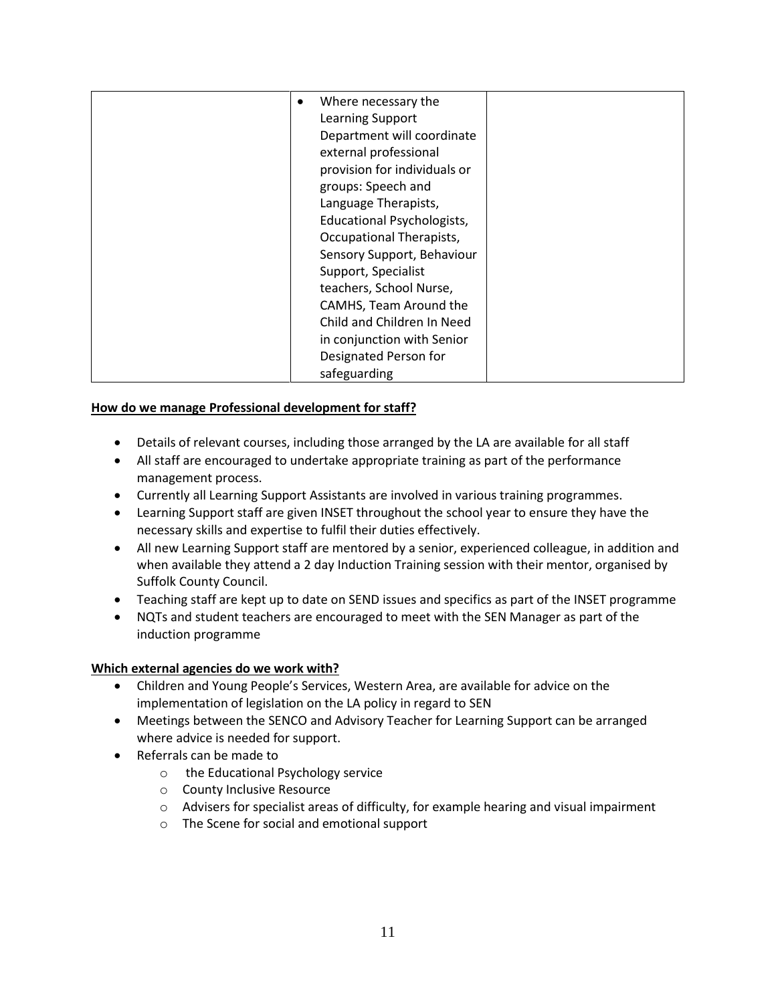| Where necessary the          |  |
|------------------------------|--|
| Learning Support             |  |
| Department will coordinate   |  |
| external professional        |  |
| provision for individuals or |  |
| groups: Speech and           |  |
| Language Therapists,         |  |
| Educational Psychologists,   |  |
| Occupational Therapists,     |  |
| Sensory Support, Behaviour   |  |
| Support, Specialist          |  |
| teachers, School Nurse,      |  |
| CAMHS, Team Around the       |  |
| Child and Children In Need   |  |
| in conjunction with Senior   |  |
| Designated Person for        |  |
| safeguarding                 |  |

# <span id="page-11-0"></span>**How do we manage Professional development for staff?**

- Details of relevant courses, including those arranged by the LA are available for all staff
- All staff are encouraged to undertake appropriate training as part of the performance management process.
- Currently all Learning Support Assistants are involved in various training programmes.
- Learning Support staff are given INSET throughout the school year to ensure they have the necessary skills and expertise to fulfil their duties effectively.
- All new Learning Support staff are mentored by a senior, experienced colleague, in addition and when available they attend a 2 day Induction Training session with their mentor, organised by Suffolk County Council.
- Teaching staff are kept up to date on SEND issues and specifics as part of the INSET programme
- NQTs and student teachers are encouraged to meet with the SEN Manager as part of the induction programme

#### <span id="page-11-1"></span>**Which external agencies do we work with?**

- Children and Young People's Services, Western Area, are available for advice on the implementation of legislation on the LA policy in regard to SEN
- Meetings between the SENCO and Advisory Teacher for Learning Support can be arranged where advice is needed for support.
- Referrals can be made to
	- o the Educational Psychology service
	- o County Inclusive Resource
	- o Advisers for specialist areas of difficulty, for example hearing and visual impairment
	- o The Scene for social and emotional support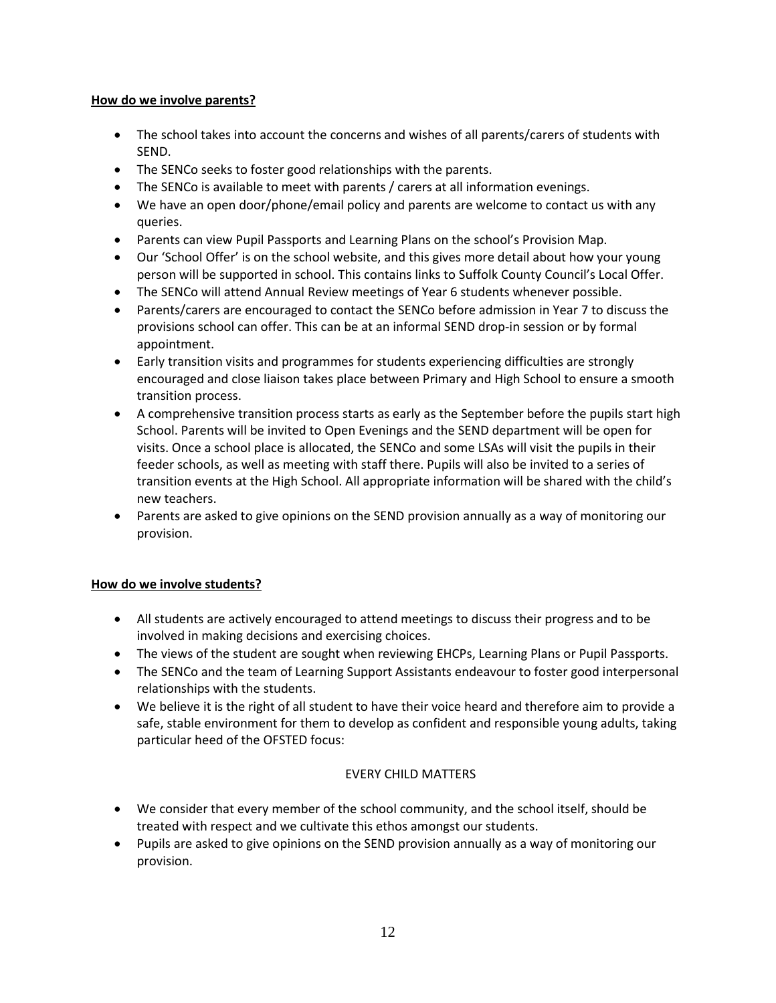## <span id="page-12-0"></span>**How do we involve parents?**

- The school takes into account the concerns and wishes of all parents/carers of students with SEND.
- The SENCo seeks to foster good relationships with the parents.
- The SENCo is available to meet with parents / carers at all information evenings.
- We have an open door/phone/email policy and parents are welcome to contact us with any queries.
- Parents can view Pupil Passports and Learning Plans on the school's Provision Map.
- Our 'School Offer' is on the school website, and this gives more detail about how your young person will be supported in school. This contains links to Suffolk County Council's Local Offer.
- The SENCo will attend Annual Review meetings of Year 6 students whenever possible.
- Parents/carers are encouraged to contact the SENCo before admission in Year 7 to discuss the provisions school can offer. This can be at an informal SEND drop-in session or by formal appointment.
- Early transition visits and programmes for students experiencing difficulties are strongly encouraged and close liaison takes place between Primary and High School to ensure a smooth transition process.
- A comprehensive transition process starts as early as the September before the pupils start high School. Parents will be invited to Open Evenings and the SEND department will be open for visits. Once a school place is allocated, the SENCo and some LSAs will visit the pupils in their feeder schools, as well as meeting with staff there. Pupils will also be invited to a series of transition events at the High School. All appropriate information will be shared with the child's new teachers.
- Parents are asked to give opinions on the SEND provision annually as a way of monitoring our provision.

# <span id="page-12-1"></span>**How do we involve students?**

- All students are actively encouraged to attend meetings to discuss their progress and to be involved in making decisions and exercising choices.
- The views of the student are sought when reviewing EHCPs, Learning Plans or Pupil Passports.
- The SENCo and the team of Learning Support Assistants endeavour to foster good interpersonal relationships with the students.
- We believe it is the right of all student to have their voice heard and therefore aim to provide a safe, stable environment for them to develop as confident and responsible young adults, taking particular heed of the OFSTED focus:

# EVERY CHILD MATTERS

- We consider that every member of the school community, and the school itself, should be treated with respect and we cultivate this ethos amongst our students.
- <span id="page-12-2"></span> Pupils are asked to give opinions on the SEND provision annually as a way of monitoring our provision.